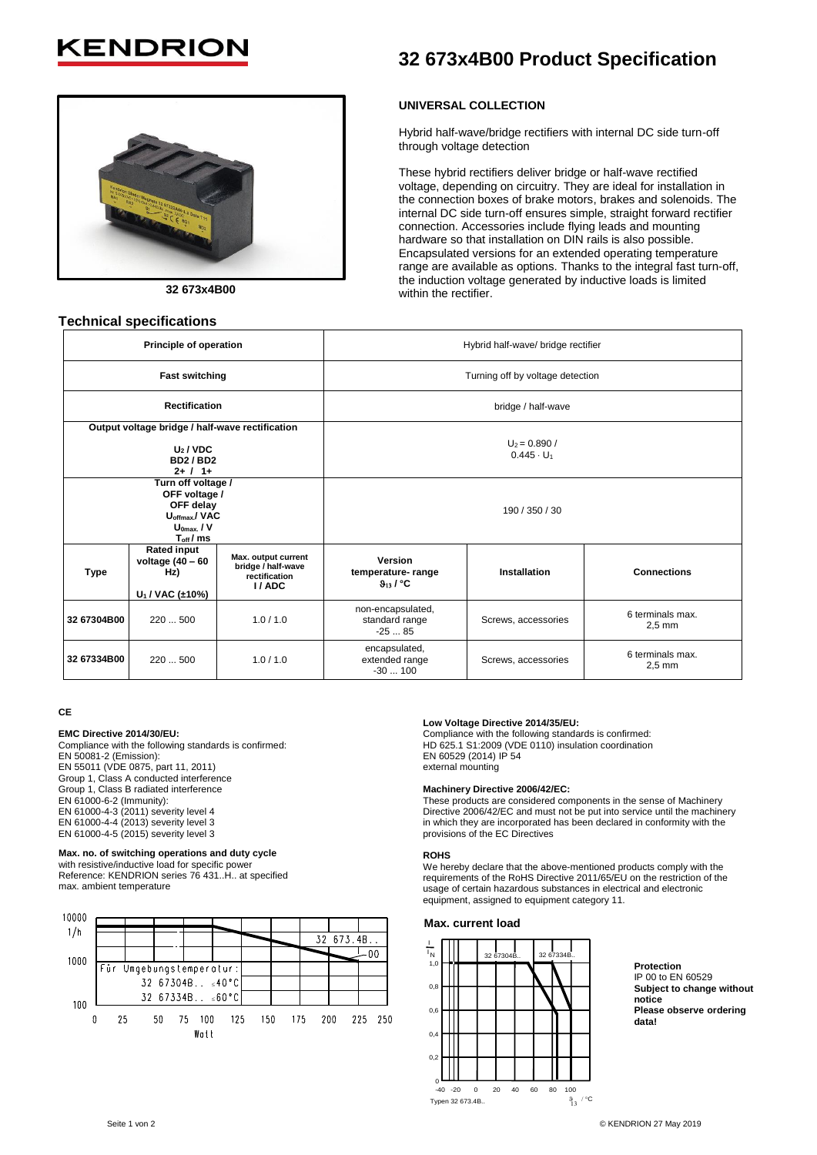# **KENDRIO**



**32 673x4B00**

## **Technical specifications**

# **32 673x4B00 Product Specification**

## **UNIVERSAL COLLECTION**

Hybrid half-wave/bridge rectifiers with internal DC side turn-off through voltage detection

These hybrid rectifiers deliver bridge or half-wave rectified voltage, depending on circuitry. They are ideal for installation in the connection boxes of brake motors, brakes and solenoids. The internal DC side turn-off ensures simple, straight forward rectifier connection. Accessories include flying leads and mounting hardware so that installation on DIN rails is also possible. Encapsulated versions for an extended operating temperature range are available as options. Thanks to the integral fast turn-off, the induction voltage generated by inductive loads is limited within the rectifier.

|                                                                                             | Principle of operation                                                                                             |                                                                     | Hybrid half-wave/ bridge rectifier                   |                     |                                      |  |  |  |
|---------------------------------------------------------------------------------------------|--------------------------------------------------------------------------------------------------------------------|---------------------------------------------------------------------|------------------------------------------------------|---------------------|--------------------------------------|--|--|--|
|                                                                                             | <b>Fast switching</b>                                                                                              |                                                                     | Turning off by voltage detection                     |                     |                                      |  |  |  |
|                                                                                             | <b>Rectification</b>                                                                                               |                                                                     | bridge / half-wave                                   |                     |                                      |  |  |  |
| Output voltage bridge / half-wave rectification<br>$U_2/VDC$<br><b>BD2/BD2</b><br>$2+ / 1+$ |                                                                                                                    |                                                                     | $U_2 = 0.890 /$<br>$0.445 \cdot U_1$                 |                     |                                      |  |  |  |
|                                                                                             | Turn off voltage /<br>OFF voltage /<br>OFF delay<br>U <sub>offmax</sub> /VAC<br>$U_{0max}$ / V<br>$T_{\rm off}/ms$ |                                                                     | 190 / 350 / 30                                       |                     |                                      |  |  |  |
| <b>Type</b>                                                                                 | <b>Rated input</b><br>voltage $(40 - 60)$<br>Hz)<br>$U_1 / VAC$ (±10%)                                             | Max. output current<br>bridge / half-wave<br>rectification<br>I/ADC | Version<br>temperature-range<br>9 <sub>13</sub> / °C | Installation        | <b>Connections</b>                   |  |  |  |
| 32 67304B00                                                                                 | 220500                                                                                                             | 1.0/1.0                                                             | non-encapsulated,<br>standard range<br>$-2585$       | Screws, accessories | 6 terminals max.<br>$2.5 \text{ mm}$ |  |  |  |
| 32 67334B00                                                                                 | 220  500                                                                                                           | 1.0/1.0                                                             | encapsulated,<br>extended range<br>$-30100$          | Screws, accessories | 6 terminals max.<br>$2.5 \text{ mm}$ |  |  |  |

#### **CE**

#### **EMC Directive 2014/30/EU:**

Compliance with the following standards is confirmed: EN 50081-2 (Emission): EN 55011 (VDE 0875, part 11, 2011) Group 1, Class A conducted interference Group 1, Class B radiated interference EN 61000-6-2 (Immunity): EN 61000-4-3 (2011) severity level 4 EN 61000-4-4 (2013) severity level 3 EN 61000-4-5 (2015) severity level 3

#### **Max. no. of switching operations and duty cycle**

with resistive/inductive load for specific power Reference: KENDRION series 76 431..H.. at specified max. ambient temperature

| 10000 |    |                          |                               |           |     |     |     |           |         |
|-------|----|--------------------------|-------------------------------|-----------|-----|-----|-----|-----------|---------|
| 1/h   |    |                          |                               |           |     |     |     |           |         |
|       |    |                          |                               |           |     |     |     | 32 673.4B |         |
| 1000  |    |                          |                               |           |     |     |     |           | -00     |
|       |    | Für Umgebungstemperatur: |                               |           |     |     |     |           |         |
|       |    |                          | 32 67304B $\leq 40^{\circ}$ C |           |     |     |     |           |         |
| 100   |    |                          | 32 67334B $\leq 60^{\circ}$ C |           |     |     |     |           |         |
| 0     | 25 |                          | 50                            | 100<br>75 | 125 | 150 | 175 | 200       | 225 250 |
|       |    |                          |                               | Watt      |     |     |     |           |         |

#### **Low Voltage Directive 2014/35/EU:**

Compliance with the following standards is confirmed: HD 625.1 S1:2009 (VDE 0110) insulation coordination EN 60529 (2014) IP 54 external mounting

#### **Machinery Directive 2006/42/EC:**

These products are considered components in the sense of Machinery Directive 2006/42/EC and must not be put into service until the machinery in which they are incorporated has been declared in conformity with the provisions of the EC Directives

#### **ROHS**

We hereby declare that the above-mentioned products comply with the requirements of the RoHS Directive 2011/65/EU on the restriction of the usage of certain hazardous substances in electrical and electronic equipment, assigned to equipment category 11.

#### **Max. current load**



**Protection** IP 00 to EN 60529 **Subject to change without notice Please observe ordering data!**